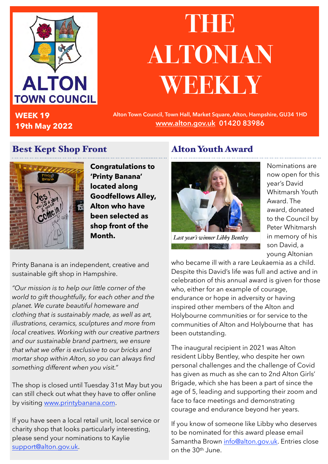

**WEEK 19 19th May 2022**

## **THE ALTONIAN WEEKLY**

**Alton Town Council, Town Hall, Market Square, Alton, Hampshire, GU34 1HD [www.alton.gov.uk](http://www.alton.gov.uk) 01420 83986**

#### Best Kept Shop Front



**Congratulations to 'Printy Banana' located along Goodfellows Alley, Alton who have been selected as shop front of the Month.**

#### Alton Youth Award



*Last year's winner Libby Bentley***The Contract of the Contract of the Contract of the Contract of the Contract of the Contract of the Contract of the Contract of the Contract of the Contract of the Contract of the Contract of the Contract of the Contract** 

Nominations are now open for this year's David Whitmarsh Youth Award. The award, donated to the Council by Peter Whitmarsh in memory of his son David, a young Altonian

Printy Banana is an independent, creative and sustainable gift shop in Hampshire.

*"Our mission is to help our little corner of the world to gift thoughtfully, for each other and the planet. We curate beautiful homeware and clothing that is sustainably made, as well as art, illustrations, ceramics, sculptures and more from local creatives. Working with our creative partners and our sustainable brand partners, we ensure that what we offer is exclusive to our bricks and mortar shop within Alton, so you can always find something different when you visit."* 

The shop is closed until Tuesday 31st May but you can still check out what they have to offer online by visiting [www.printybanana.com.](http://www.printybanana.com)

If you have seen a local retail unit, local service or charity shop that looks particularly interesting, please send your nominations to Kaylie [support@alton.gov.uk.](mailto:support@alton.gov.uk)

who became ill with a rare Leukaemia as a child. Despite this David's life was full and active and in celebration of this annual award is given for those who, either for an example of courage, endurance or hope in adversity or having inspired other members of the Alton and Holybourne communities or for service to the communities of Alton and Holybourne that has been outstanding.

The inaugural recipient in 2021 was Alton resident Libby Bentley, who despite her own personal challenges and the challenge of Covid has given as much as she can to 2nd Alton Girls' Brigade, which she has been a part of since the age of 5, leading and supporting their zoom and face to face meetings and demonstrating courage and endurance beyond her years.

If you know of someone like Libby who deserves to be nominated for this award please email Samantha Brown [info@alton.gov.uk](mailto:info@alton.gov.uk). Entries close on the 30th June.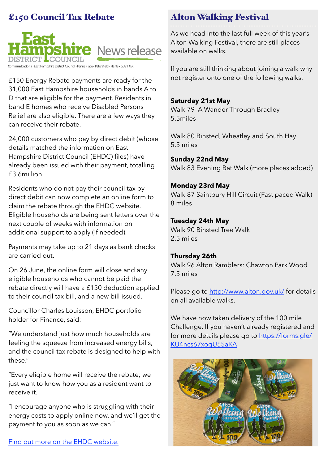#### £150 Council Tax Rebate



District Council • Penns Place • Petersfield • Hants • GU31 4EX

£150 Energy Rebate payments are ready for the 31,000 East Hampshire households in bands A to D that are eligible for the payment. Residents in band E homes who receive Disabled Persons Relief are also eligible. There are a few ways they can receive their rebate.

24,000 customers who pay by direct debit (whose details matched the information on East Hampshire District Council (EHDC) files) have already been issued with their payment, totalling £3.6million.

Residents who do not pay their council tax by direct debit can now complete an online form to claim the rebate through the EHDC website. Eligible households are being sent letters over the next couple of weeks with information on additional support to apply (if needed).

Payments may take up to 21 days as bank checks are carried out.

On 26 June, the online form will close and any eligible households who cannot be paid the rebate directly will have a £150 deduction applied to their council tax bill, and a new bill issued.

Councillor Charles Louisson, EHDC portfolio holder for Finance, said:

"We understand just how much households are feeling the squeeze from increased energy bills, and the council tax rebate is designed to help with these."

"Every eligible home will receive the rebate; we just want to know how you as a resident want to receive it.

"I encourage anyone who is struggling with their energy costs to apply online now, and we'll get the payment to you as soon as we can."

#### Alton Walking Festival

As we head into the last full week of this year's Alton Walking Festival, there are still places available on walks.

If you are still thinking about joining a walk why not register onto one of the following walks:

#### **Saturday 21st May**

Walk 79 A Wander Through Bradley 5.5miles

Walk 80 Binsted, Wheatley and South Hay 5.5 miles

**Sunday 22nd May** Walk 83 Evening Bat Walk (more places added)

#### **Monday 23rd May**

Walk 87 Saintbury Hill Circuit (Fast paced Walk) 8 miles

#### **Tuesday 24th May**

Walk 90 Binsted Tree Walk 2.5 miles

#### **Thursday 26th**

Walk 96 Alton Ramblers: Chawton Park Wood 7.5 miles

Please go to <http://www.alton.gov.uk/> for details on all available walks.

We have now taken delivery of the 100 mile Challenge. If you haven't already registered and for more details please go to [https://forms.gle/](https://forms.gle/%20KU4ncs67xogU55aKA)  [KU4ncs67xogU55aKA](https://forms.gle/%20KU4ncs67xogU55aKA)

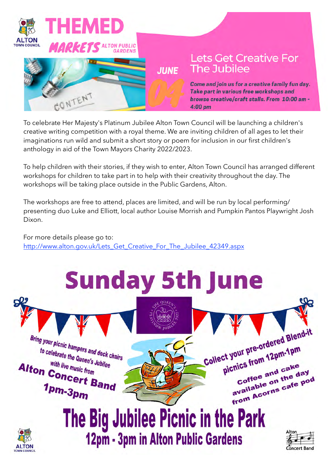

To celebrate Her Majesty's Platinum Jubilee Alton Town Council will be launching a children's creative writing competition with a royal theme. We are inviting children of all ages to let their imaginations run wild and submit a short story or poem for inclusion in our first children's anthology in aid of the Town Mayors Charity 2022/2023.

To help children with their stories, if they wish to enter, Alton Town Council has arranged different workshops for children to take part in to help with their creativity throughout the day. The workshops will be taking place outside in the Public Gardens, Alton.

The workshops are free to attend, places are limited, and will be run by local performing/ presenting duo Luke and Elliott, local author Louise Morrish and Pumpkin Pantos Playwright Josh Dixon.

For more details please go to: [http://www.alton.gov.uk/Lets\\_Get\\_Creative\\_For\\_The\\_Jubilee\\_42349.aspx](http://www.alton.gov.uk/Lets_Get_Creative_For_The_Jubilee_42349.aspx)

# **Sunday 5th June**

**Bring your picnic hampers and deck chairs**<br>to celebrate the Queen's Jubit. to celebrate the Queen's Jubilee with live music from Alton Concert Band  $1<sub>pm-3pm</sub>$ 





 $\Omega$ 

Collect your pre-ordered Blend-it

picnics from 12pm-1pm

ics from The cake<br>Coffee and cake

chics "<br>Coffee and cake<br>available on the day<br>available or cafe po

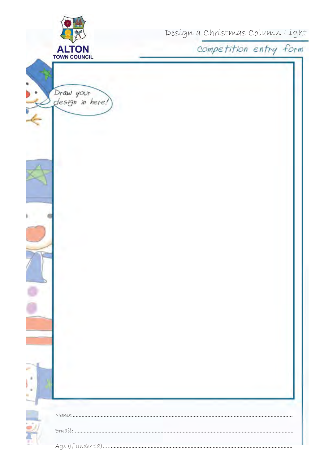|                                     |                        | Desígn a Chrístmas Column Líght |  |  |
|-------------------------------------|------------------------|---------------------------------|--|--|
| <b>ALTON</b><br><b>TOWN COUNCIL</b> | competition entry form |                                 |  |  |
|                                     |                        |                                 |  |  |
|                                     |                        |                                 |  |  |
| Draw your<br>design in here!)       |                        |                                 |  |  |
|                                     |                        |                                 |  |  |
|                                     |                        |                                 |  |  |
|                                     |                        |                                 |  |  |
|                                     |                        |                                 |  |  |
|                                     |                        |                                 |  |  |
|                                     |                        |                                 |  |  |
|                                     |                        |                                 |  |  |
|                                     |                        |                                 |  |  |
|                                     |                        |                                 |  |  |
|                                     |                        |                                 |  |  |
|                                     |                        |                                 |  |  |
|                                     |                        |                                 |  |  |
|                                     |                        |                                 |  |  |
|                                     |                        |                                 |  |  |
|                                     |                        |                                 |  |  |
|                                     |                        |                                 |  |  |
|                                     |                        |                                 |  |  |
|                                     |                        |                                 |  |  |
|                                     |                        |                                 |  |  |
|                                     |                        |                                 |  |  |
|                                     |                        |                                 |  |  |
|                                     |                        |                                 |  |  |
|                                     |                        |                                 |  |  |
|                                     |                        |                                 |  |  |
|                                     |                        |                                 |  |  |